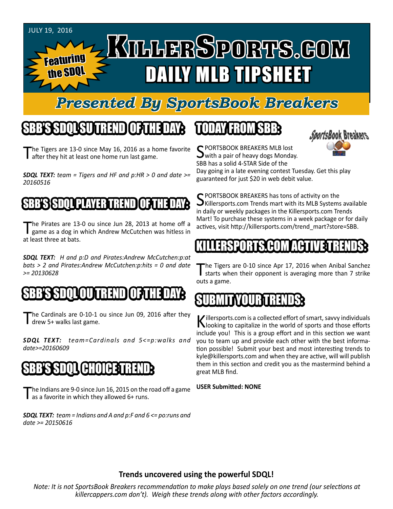#### JuLY 19, 2016 KILLERSPORTS.GOM Featuring the SDQL DAILY MLB TIPSHEET

## *Presented By SportsBook Breakers*

## SBB'S SDQL SU TREND OF THE DAY:

The Tigers are 13-0 since May 16, 2016 as a home favorite after they hit at least one home run last game.

*SDQL TEXT: team = Tigers and HF and p:HR > 0 and date >= 20160516*

#### BB'S ISDOL PLAYER TREND

The Pirates are 13-0 ou since Jun 28, 2013 at home off a game as a dog in which Andrew McCutchen was hitless in at least three at bats.

*SDQL TEXT: H and p:D and Pirates:Andrew McCutchen:p:at bats > 2 and Pirates:Andrew McCutchen:p:hits = 0 and date >= 20130628*

## SSOL OU TREND OF THE DAY:

he Cardinals are 0-10-1 ou since Jun 09, 2016 after they drew 5+ walks last game.

*SDQL TEXT: team=Cardinals and 5<=p:walks and date>=20160609*

#### SBB'S SDQL CHOICE TREND

The Indians are 9-0 since Jun 16, 2015 on the road off a game as a favorite in which they allowed 6+ runs.

*SDQL TEXT: team = Indians and A and p:F and 6 <= po:runs and date >= 20150616*

## TODAY HAOMSBB



C PORTSBOOK BREAKERS MLB lost with a pair of heavy dogs Monday. SBB has a solid 4-STAR Side of the

Day going in a late evening contest Tuesday. Get this play guaranteed for just \$20 in web debit value.

SPORTSBOOK BREAKERS has tons of activity on the<br>Killersports.com Trends mart with its MLB Systems available in daily or weekly packages in the Killersports.com Trends Mart! To purchase these systems in a week package or for daily actives, visit http://killersports.com/trend\_mart?store=SBB.

#### KILLERSPORTS.COM ACTIVE TRENDS:

The Tigers are 0-10 since Apr 17, 2016 when Anibal Sanchez<br>
starts when their opponent is averaging more than 7 strike outs a game.

#### SUBMITYOURTRENDS:

Killersports.com is a collected effort of smart, savvy individuals<br>Nooking to capitalize in the world of sports and those efforts include you! This is a group effort and in this section we want you to team up and provide each other with the best information possible! Submit your best and most interesting trends to kyle@killersports.com and when they are active, will will publish them in this section and credit you as the mastermind behind a great MLB find.

#### **USER Submitted: NONE**

#### **Trends uncovered using the powerful SDQL!**

*Note: It is not SportsBook Breakers recommendation to make plays based solely on one trend (our selections at killercappers.com don't). Weigh these trends along with other factors accordingly.*